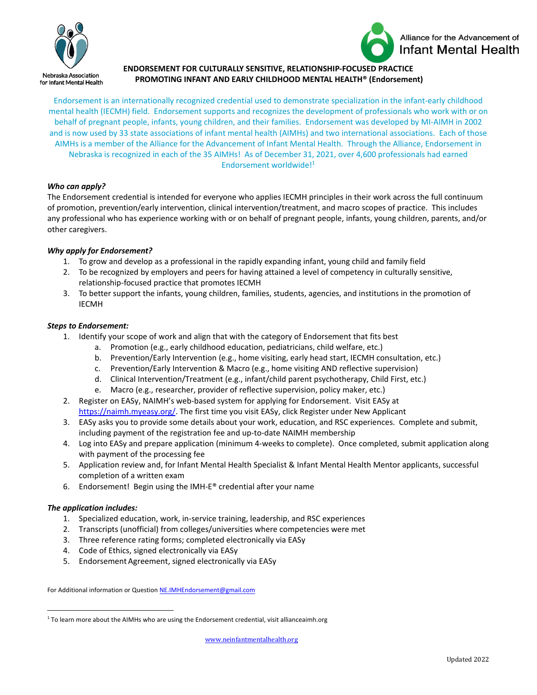



# **ENDORSEMENT FOR CULTURALLY SENSITIVE, RELATIONSHIP-FOCUSED PRACTICE PROMOTING INFANT AND EARLY CHILDHOOD MENTAL HEALTH® (Endorsement)**

Endorsement is an internationally recognized credential used to demonstrate specialization in the infant‐early childhood mental health (IECMH) field. Endorsement supports and recognizes the development of professionals who work with or on behalf of pregnant people, infants, young children, and their families. Endorsement was developed by MI‐AIMH in 2002 and is now used by 33 state associations of infant mental health (AIMHs) and two international associations. Each of those AIMHs is a member of the Alliance for the Advancement of Infant Mental Health. Through the Alliance, Endorsement in Nebraska is recognized in each of the 35 AIMHs! As of December 31, 2021, over 4,600 professionals had earned Endorsement worldwide!1

## *Who can apply?*

The Endorsement credential is intended for everyone who applies IECMH principles in their work across the full continuum of promotion, prevention/early intervention, clinical intervention/treatment, and macro scopes of practice. This includes any professional who has experience working with or on behalf of pregnant people, infants, young children, parents, and/or other caregivers.

## *Why apply for Endorsement?*

- 1. To grow and develop as a professional in the rapidly expanding infant, young child and family field
- 2. To be recognized by employers and peers for having attained a level of competency in culturally sensitive, relationship‐focused practice that promotes IECMH
- 3. To better support the infants, young children, families, students, agencies, and institutions in the promotion of IECMH

## *Steps to Endorsement:*

- 1. Identify your scope of work and align that with the category of Endorsement that fits best
	- a. Promotion (e.g., early childhood education, pediatricians, child welfare, etc.)
	- b. Prevention/Early Intervention (e.g., home visiting, early head start, IECMH consultation, etc.)
	- c. Prevention/Early Intervention & Macro (e.g., home visiting AND reflective supervision)
	- d. Clinical Intervention/Treatment (e.g., infant/child parent psychotherapy, Child First, etc.)
	- e. Macro (e.g., researcher, provider of reflective supervision, policy maker, etc.)
- 2. Register on EASy, NAIMH's web‐based system for applying for Endorsement. Visit EASy at https://naimh.myeasy.org/. The first time you visit EASy, click Register under New Applicant
- 3. EASy asks you to provide some details about your work, education, and RSC experiences. Complete and submit, including payment of the registration fee and up‐to‐date NAIMH membership
- 4. Log into EASy and prepare application (minimum 4‐weeks to complete). Once completed, submit application along with payment of the processing fee
- 5. Application review and, for Infant Mental Health Specialist & Infant Mental Health Mentor applicants, successful completion of a written exam
- 6. Endorsement! Begin using the IMH‐E® credential after your name

### *The application includes:*

- 1. Specialized education, work, in‐service training, leadership, and RSC experiences
- 2. Transcripts (unofficial) from colleges/universities where competencies were met
- 3. Three reference rating forms; completed electronically via EASy
- 4. Code of Ethics, signed electronically via EASy
- 5. Endorsement Agreement, signed electronically via EASy

For Additional information or Question NE.IMHEndorsement@gmail.com

<sup>&</sup>lt;sup>1</sup> To learn more about the AIMHs who are using the Endorsement credential, visit allianceaimh.org